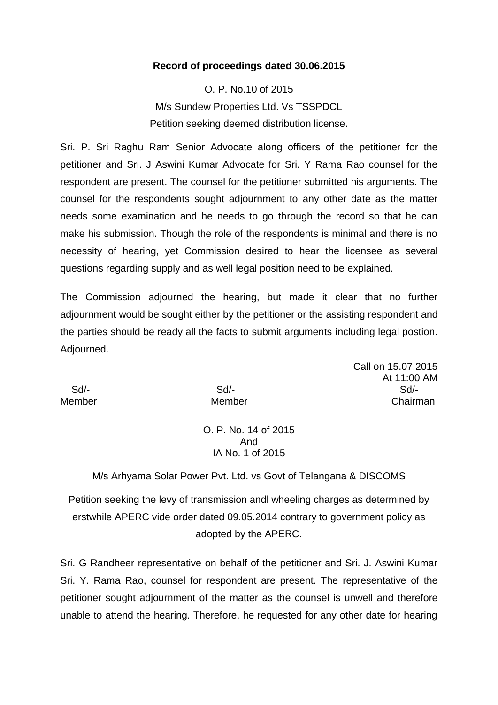## **Record of proceedings dated 30.06.2015**

O. P. No.10 of 2015 M/s Sundew Properties Ltd. Vs TSSPDCL Petition seeking deemed distribution license.

Sri. P. Sri Raghu Ram Senior Advocate along officers of the petitioner for the petitioner and Sri. J Aswini Kumar Advocate for Sri. Y Rama Rao counsel for the respondent are present. The counsel for the petitioner submitted his arguments. The counsel for the respondents sought adjournment to any other date as the matter needs some examination and he needs to go through the record so that he can make his submission. Though the role of the respondents is minimal and there is no necessity of hearing, yet Commission desired to hear the licensee as several questions regarding supply and as well legal position need to be explained.

The Commission adjourned the hearing, but made it clear that no further adjournment would be sought either by the petitioner or the assisting respondent and the parties should be ready all the facts to submit arguments including legal postion. Adjourned.

Call on 15.07.2015 At 11:00 AM Sd/- Sd/- Sd/- Member Member Chairman

O. P. No. 14 of 2015 And IA No. 1 of 2015

M/s Arhyama Solar Power Pvt. Ltd. vs Govt of Telangana & DISCOMS

Petition seeking the levy of transmission andl wheeling charges as determined by erstwhile APERC vide order dated 09.05.2014 contrary to government policy as adopted by the APERC.

Sri. G Randheer representative on behalf of the petitioner and Sri. J. Aswini Kumar Sri. Y. Rama Rao, counsel for respondent are present. The representative of the petitioner sought adjournment of the matter as the counsel is unwell and therefore unable to attend the hearing. Therefore, he requested for any other date for hearing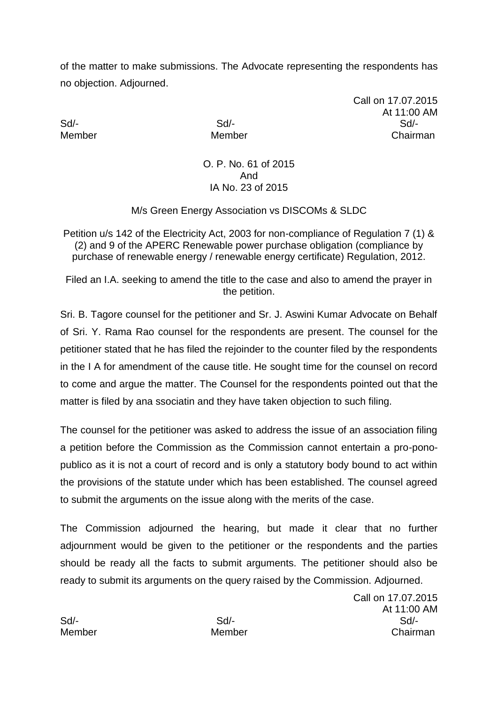of the matter to make submissions. The Advocate representing the respondents has no objection. Adjourned.

Call on 17.07.2015 At 11:00 AM Sd/- Sd/- Sd/- Member Member Chairman

> O. P. No. 61 of 2015 And IA No. 23 of 2015

M/s Green Energy Association vs DISCOMs & SLDC

Petition u/s 142 of the Electricity Act, 2003 for non-compliance of Regulation 7 (1) & (2) and 9 of the APERC Renewable power purchase obligation (compliance by purchase of renewable energy / renewable energy certificate) Regulation, 2012.

Filed an I.A. seeking to amend the title to the case and also to amend the prayer in the petition.

Sri. B. Tagore counsel for the petitioner and Sr. J. Aswini Kumar Advocate on Behalf of Sri. Y. Rama Rao counsel for the respondents are present. The counsel for the petitioner stated that he has filed the rejoinder to the counter filed by the respondents in the I A for amendment of the cause title. He sought time for the counsel on record to come and argue the matter. The Counsel for the respondents pointed out that the matter is filed by ana ssociatin and they have taken objection to such filing.

The counsel for the petitioner was asked to address the issue of an association filing a petition before the Commission as the Commission cannot entertain a pro-ponopublico as it is not a court of record and is only a statutory body bound to act within the provisions of the statute under which has been established. The counsel agreed to submit the arguments on the issue along with the merits of the case.

The Commission adjourned the hearing, but made it clear that no further adjournment would be given to the petitioner or the respondents and the parties should be ready all the facts to submit arguments. The petitioner should also be ready to submit its arguments on the query raised by the Commission. Adjourned.

Call on 17.07.2015 At 11:00 AM Sd/- Sd/- Sd/- Member Member Chairman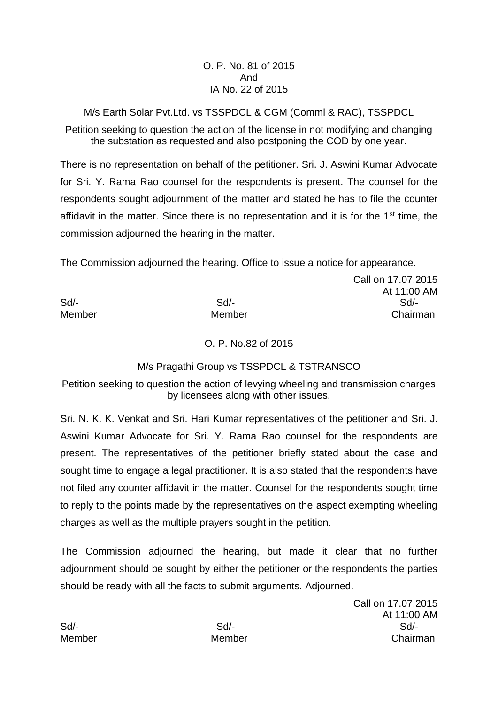## O. P. No. 81 of 2015 And IA No. 22 of 2015

M/s Earth Solar Pvt.Ltd. vs TSSPDCL & CGM (Comml & RAC), TSSPDCL

Petition seeking to question the action of the license in not modifying and changing the substation as requested and also postponing the COD by one year.

There is no representation on behalf of the petitioner. Sri. J. Aswini Kumar Advocate for Sri. Y. Rama Rao counsel for the respondents is present. The counsel for the respondents sought adjournment of the matter and stated he has to file the counter affidavit in the matter. Since there is no representation and it is for the 1<sup>st</sup> time, the commission adjourned the hearing in the matter.

The Commission adjourned the hearing. Office to issue a notice for appearance.

Call on 17.07.2015 At 11:00 AM Sd/- Sd/- Sd/- Member Member Chairman

O. P. No.82 of 2015

## M/s Pragathi Group vs TSSPDCL & TSTRANSCO

Petition seeking to question the action of levying wheeling and transmission charges by licensees along with other issues.

Sri. N. K. K. Venkat and Sri. Hari Kumar representatives of the petitioner and Sri. J. Aswini Kumar Advocate for Sri. Y. Rama Rao counsel for the respondents are present. The representatives of the petitioner briefly stated about the case and sought time to engage a legal practitioner. It is also stated that the respondents have not filed any counter affidavit in the matter. Counsel for the respondents sought time to reply to the points made by the representatives on the aspect exempting wheeling charges as well as the multiple prayers sought in the petition.

The Commission adjourned the hearing, but made it clear that no further adjournment should be sought by either the petitioner or the respondents the parties should be ready with all the facts to submit arguments. Adjourned.

Call on 17.07.2015 At 11:00 AM Sd/- Sd/- Sd/- Member Member Chairman